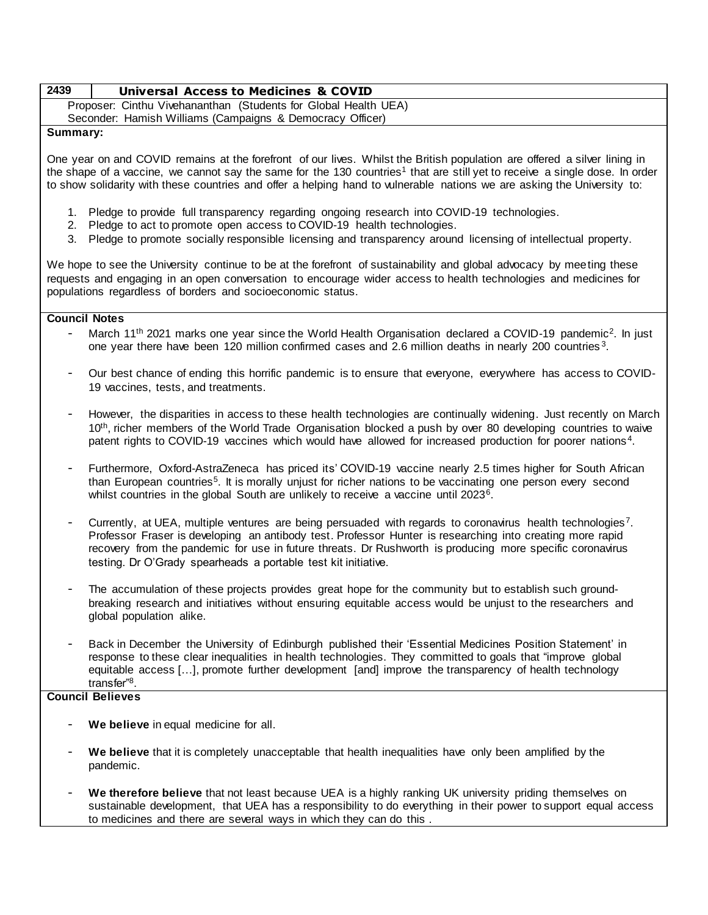# **2439 Universal Access to Medicines & COVID**

Proposer: Cinthu Vivehananthan (Students for Global Health UEA)

Seconder: Hamish Williams (Campaigns & Democracy Officer)

### **Summary:**

One year on and COVID remains at the forefront of our lives. Whilst the British population are offered a silver lining in the shape of a vaccine, we cannot say the same for the 130 countries<sup>1</sup> that are still yet to receive a single dose. In order to show solidarity with these countries and offer a helping hand to vulnerable nations we are asking the University to:

- 1. Pledge to provide full transparency regarding ongoing research into COVID-19 technologies.
- 2. Pledge to act to promote open access to COVID-19 health technologies.
- 3. Pledge to promote socially responsible licensing and transparency around licensing of intellectual property.

We hope to see the University continue to be at the forefront of sustainability and global advocacy by meeting these requests and engaging in an open conversation to encourage wider access to health technologies and medicines for populations regardless of borders and socioeconomic status.

#### **Council Notes**

- March 11<sup>th</sup> 2021 marks one year since the World Health Organisation declared a COVID-19 pandemic<sup>2</sup>. In just one year there have been 120 million confirmed cases and 2.6 million deaths in nearly 200 countries<sup>3</sup>.
- Our best chance of ending this horrific pandemic is to ensure that everyone, everywhere has access to COVID-19 vaccines, tests, and treatments.
- However, the disparities in access to these health technologies are continually widening. Just recently on March 10<sup>th</sup>, richer members of the World Trade Organisation blocked a push by over 80 developing countries to waive patent rights to COVID-19 vaccines which would have allowed for increased production for poorer nations<sup>4</sup>.
- Furthermore, Oxford-AstraZeneca has priced its' COVID-19 vaccine nearly 2.5 times higher for South African than European countries<sup>5</sup>. It is morally unjust for richer nations to be vaccinating one person every second whilst countries in the global South are unlikely to receive a vaccine until 2023<sup>6</sup>.
- Currently, at UEA, multiple ventures are being persuaded with regards to coronavirus health technologies<sup>7</sup>. Professor Fraser is developing an antibody test. Professor Hunter is researching into creating more rapid recovery from the pandemic for use in future threats. Dr Rushworth is producing more specific coronavirus testing. Dr O'Grady spearheads a portable test kit initiative.
- The accumulation of these projects provides great hope for the community but to establish such groundbreaking research and initiatives without ensuring equitable access would be unjust to the researchers and global population alike.
- Back in December the University of Edinburgh published their 'Essential Medicines Position Statement' in response to these clear inequalities in health technologies. They committed to goals that "improve global equitable access […], promote further development [and] improve the transparency of health technology transfer"<sup>8</sup> .

#### **Council Believes**

- We believe in equal medicine for all.
- We believe that it is completely unacceptable that health inequalities have only been amplified by the pandemic.
- We therefore believe that not least because UEA is a highly ranking UK university priding themselves on sustainable development, that UEA has a responsibility to do everything in their power to support equal access to medicines and there are several ways in which they can do this .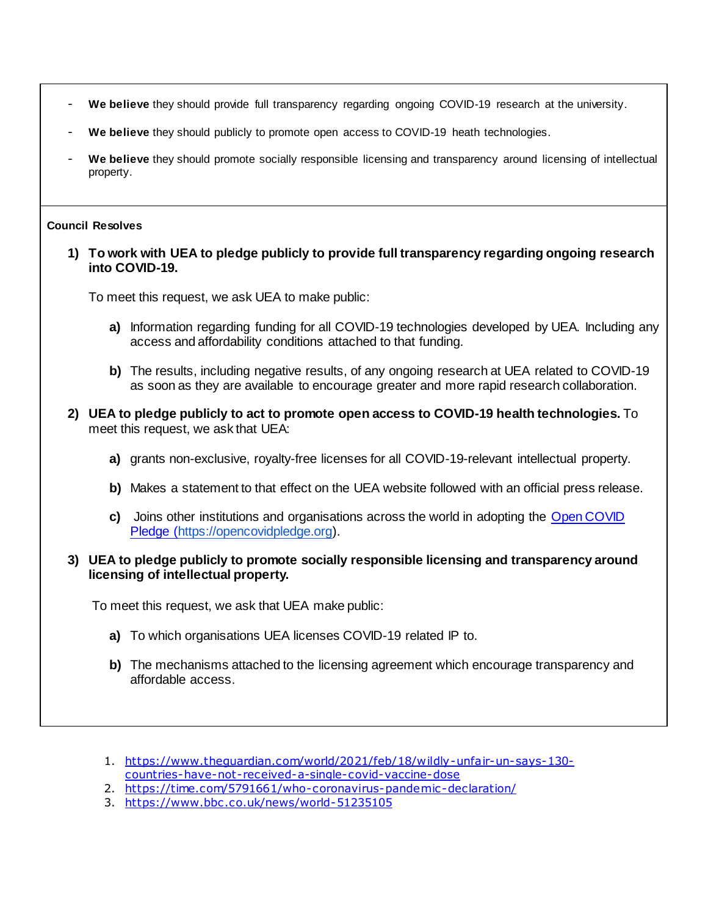- **We believe** they should provide full transparency regarding ongoing COVID-19 research at the university.
- We believe they should publicly to promote open access to COVID-19 heath technologies.
- **We believe** they should promote socially responsible licensing and transparency around licensing of intellectual property.

### **Council Resolves**

**1) To work with UEA to pledge publicly to provide full transparency regarding ongoing research into COVID-19.**

To meet this request, we ask UEA to make public:

- **a)** Information regarding funding for all COVID-19 technologies developed by UEA. Including any access and affordability conditions attached to that funding.
- **b)** The results, including negative results, of any ongoing research at UEA related to COVID-19 as soon as they are available to encourage greater and more rapid research collaboration.
- **2) UEA to pledge publicly to act to promote open access to COVID-19 health technologies.** To meet this request, we ask that UEA:
	- **a)** grants non-exclusive, royalty-free licenses for all COVID-19-relevant intellectual property.
	- **b)** Makes a statement to that effect on the UEA website followed with an official press release.
	- **c)** Joins other institutions and organisations across the world in adopting the [Open COVID](https://opencovidpledge.org/)  [Pledge](https://opencovidpledge.org/) [\(https://opencovidpledge.org\)](https://opencovidpledge.org/).

## **3) UEA to pledge publicly to promote socially responsible licensing and transparency around licensing of intellectual property.**

To meet this request, we ask that UEA make public:

- **a)** To which organisations UEA licenses COVID-19 related IP to.
- **b)** The mechanisms attached to the licensing agreement which encourage transparency and affordable access.
- 1. [https://www.theguardian.com/world/2021/feb/18/wildly-unfair-un-says-130](https://www.theguardian.com/world/2021/feb/18/wildly-unfair-un-says-130-countries-have-not-received-a-single-covid-vaccine-dose) [countries-have-not-received-a-single-covid-vaccine-dose](https://www.theguardian.com/world/2021/feb/18/wildly-unfair-un-says-130-countries-have-not-received-a-single-covid-vaccine-dose)
- 2. <https://time.com/5791661/who-coronavirus-pandemic-declaration/>
- 3. [https://www.bbc .co.uk/news/world-51235105](https://www.bbc.co.uk/news/world-51235105)